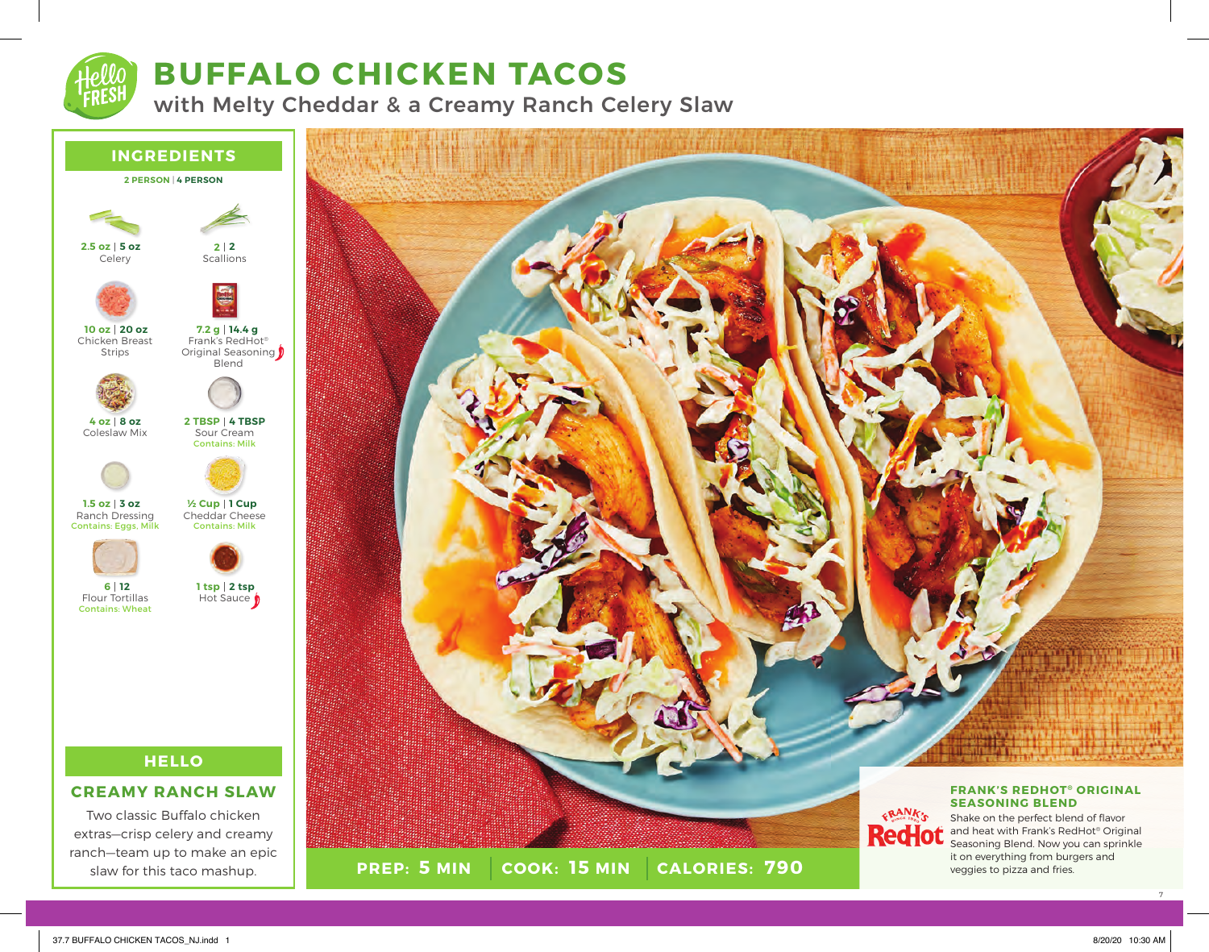

# **BUFFALO CHICKEN TACOS**

with Melty Cheddar & a Creamy Ranch Celery Slaw



Two classic Buffalo chicken extras—crisp celery and creamy ranch—team up to make an epic slaw for this taco mashup.



7